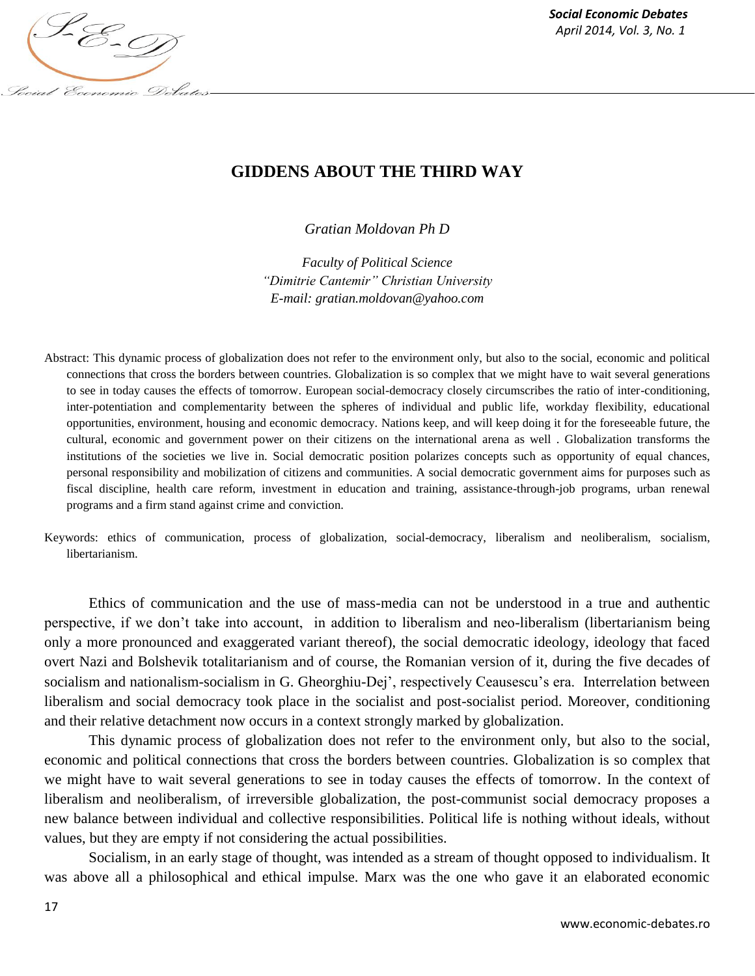

*Social Economic Debates*

# **GIDDENS ABOUT THE THIRD WAY**

*Gratian Moldovan Ph D*

*Faculty of Political Science "Dimitrie Cantemir" Christian University E-mail: gratian.moldovan@yahoo.com*

- Abstract: This dynamic process of globalization does not refer to the environment only, but also to the social, economic and political connections that cross the borders between countries. Globalization is so complex that we might have to wait several generations to see in today causes the effects of tomorrow. European social-democracy closely circumscribes the ratio of inter-conditioning, inter-potentiation and complementarity between the spheres of individual and public life, workday flexibility, educational opportunities, environment, housing and economic democracy. Nations keep, and will keep doing it for the foreseeable future, the cultural, economic and government power on their citizens on the international arena as well . Globalization transforms the institutions of the societies we live in. Social democratic position polarizes concepts such as opportunity of equal chances, personal responsibility and mobilization of citizens and communities. A social democratic government aims for purposes such as fiscal discipline, health care reform, investment in education and training, assistance-through-job programs, urban renewal programs and a firm stand against crime and conviction.
- Keywords: ethics of communication, process of globalization, social-democracy, liberalism and neoliberalism, socialism, libertarianism.

Ethics of communication and the use of mass-media can not be understood in a true and authentic perspective, if we don't take into account, in addition to liberalism and neo-liberalism (libertarianism being only a more pronounced and exaggerated variant thereof), the social democratic ideology, ideology that faced overt Nazi and Bolshevik totalitarianism and of course, the Romanian version of it, during the five decades of socialism and nationalism-socialism in G. Gheorghiu-Dej', respectively Ceausescu's era. Interrelation between liberalism and social democracy took place in the socialist and post-socialist period. Moreover, conditioning and their relative detachment now occurs in a context strongly marked by globalization.

This dynamic process of globalization does not refer to the environment only, but also to the social, economic and political connections that cross the borders between countries. Globalization is so complex that we might have to wait several generations to see in today causes the effects of tomorrow. In the context of liberalism and neoliberalism, of irreversible globalization, the post-communist social democracy proposes a new balance between individual and collective responsibilities. Political life is nothing without ideals, without values, but they are empty if not considering the actual possibilities.

Socialism, in an early stage of thought, was intended as a stream of thought opposed to individualism. It was above all a philosophical and ethical impulse. Marx was the one who gave it an elaborated economic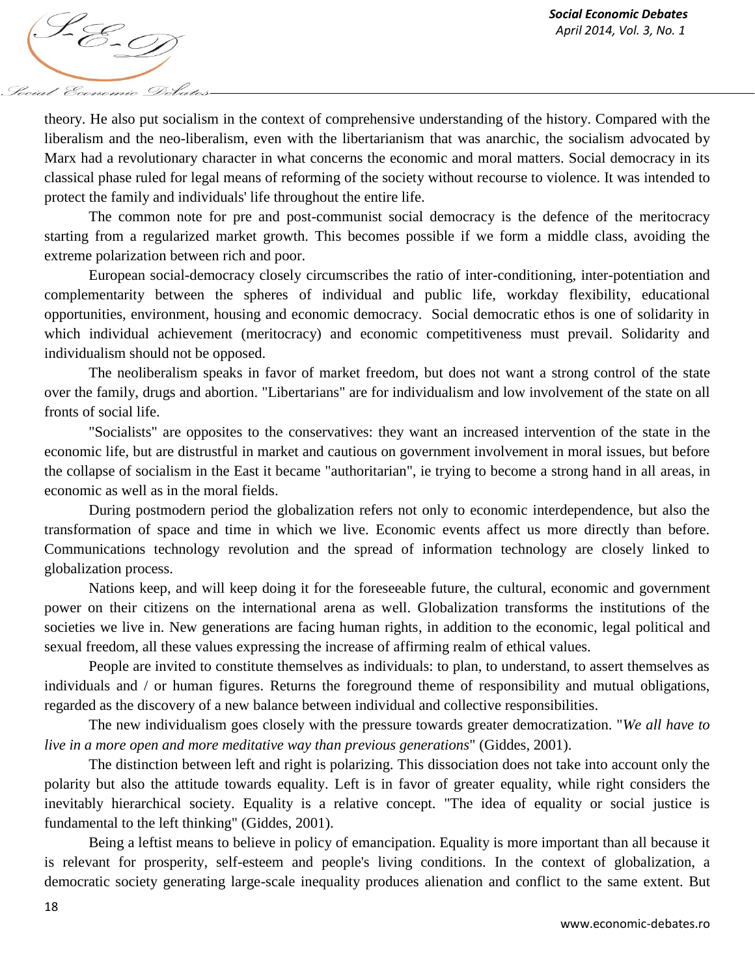*April 2014, Vol. 3, No. 1*<br>*April 2014, Vol. 3, No. 1* Social Economic Debates

theory. He also put socialism in the context of comprehensive understanding of the history. Compared with the liberalism and the neo-liberalism, even with the libertarianism that was anarchic, the socialism advocated by Marx had a revolutionary character in what concerns the economic and moral matters. Social democracy in its classical phase ruled for legal means of reforming of the society without recourse to violence. It was intended to protect the family and individuals' life throughout the entire life.

The common note for pre and post-communist social democracy is the defence of the meritocracy starting from a regularized market growth. This becomes possible if we form a middle class, avoiding the extreme polarization between rich and poor.

European social-democracy closely circumscribes the ratio of inter-conditioning, inter-potentiation and complementarity between the spheres of individual and public life, workday flexibility, educational opportunities, environment, housing and economic democracy. Social democratic ethos is one of solidarity in which individual achievement (meritocracy) and economic competitiveness must prevail. Solidarity and individualism should not be opposed.

The neoliberalism speaks in favor of market freedom, but does not want a strong control of the state over the family, drugs and abortion. "Libertarians" are for individualism and low involvement of the state on all fronts of social life.

"Socialists" are opposites to the conservatives: they want an increased intervention of the state in the economic life, but are distrustful in market and cautious on government involvement in moral issues, but before the collapse of socialism in the East it became "authoritarian", ie trying to become a strong hand in all areas, in economic as well as in the moral fields.

During postmodern period the globalization refers not only to economic interdependence, but also the transformation of space and time in which we live. Economic events affect us more directly than before. Communications technology revolution and the spread of information technology are closely linked to globalization process.

Nations keep, and will keep doing it for the foreseeable future, the cultural, economic and government power on their citizens on the international arena as well. Globalization transforms the institutions of the societies we live in. New generations are facing human rights, in addition to the economic, legal political and sexual freedom, all these values expressing the increase of affirming realm of ethical values.

People are invited to constitute themselves as individuals: to plan, to understand, to assert themselves as individuals and / or human figures. Returns the foreground theme of responsibility and mutual obligations, regarded as the discovery of a new balance between individual and collective responsibilities.

The new individualism goes closely with the pressure towards greater democratization. "*We all have to live in a more open and more meditative way than previous generations*" (Giddes, 2001).

The distinction between left and right is polarizing. This dissociation does not take into account only the polarity but also the attitude towards equality. Left is in favor of greater equality, while right considers the inevitably hierarchical society. Equality is a relative concept. "The idea of equality or social justice is fundamental to the left thinking" (Giddes, 2001).

Being a leftist means to believe in policy of emancipation. Equality is more important than all because it is relevant for prosperity, self-esteem and people's living conditions. In the context of globalization, a democratic society generating large-scale inequality produces alienation and conflict to the same extent. But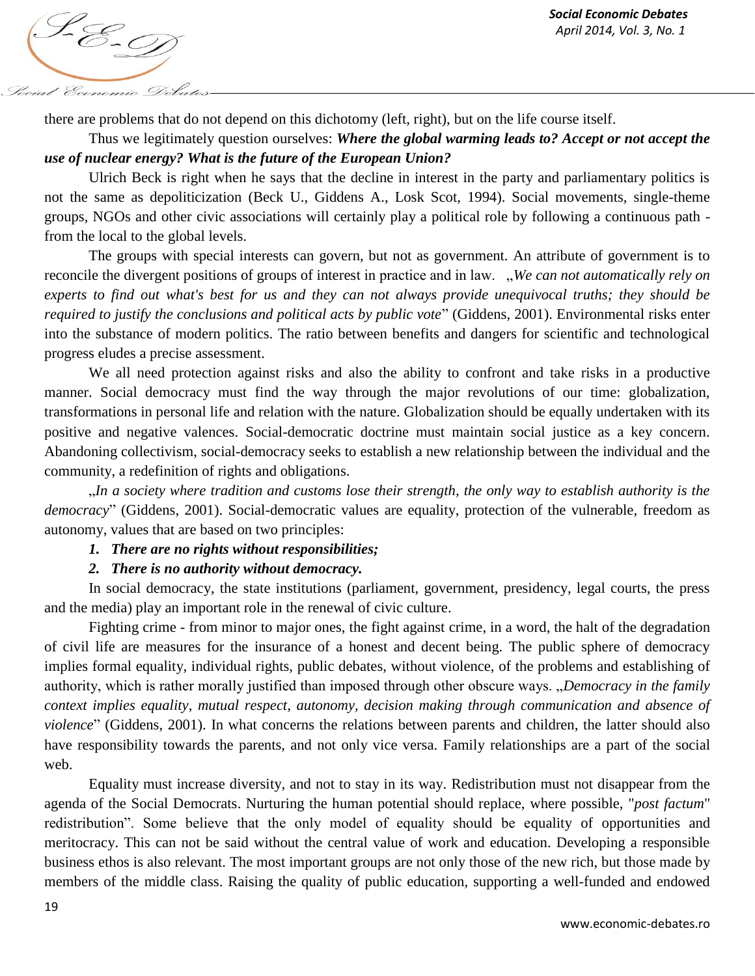

there are problems that do not depend on this dichotomy (left, right), but on the life course itself.

## Thus we legitimately question ourselves: *Where the global warming leads to? Accept or not accept the use of nuclear energy? What is the future of the European Union?*

Ulrich Beck is right when he says that the decline in interest in the party and parliamentary politics is not the same as depoliticization (Beck U., Giddens A., Losk Scot, 1994). Social movements, single-theme groups, NGOs and other civic associations will certainly play a political role by following a continuous path from the local to the global levels.

The groups with special interests can govern, but not as government. An attribute of government is to reconcile the divergent positions of groups of interest in practice and in law. "*We can not automatically rely on experts to find out what's best for us and they can not always provide unequivocal truths; they should be required to justify the conclusions and political acts by public vote*" (Giddens, 2001). Environmental risks enter into the substance of modern politics. The ratio between benefits and dangers for scientific and technological progress eludes a precise assessment.

We all need protection against risks and also the ability to confront and take risks in a productive manner. Social democracy must find the way through the major revolutions of our time: globalization, transformations in personal life and relation with the nature. Globalization should be equally undertaken with its positive and negative valences. Social-democratic doctrine must maintain social justice as a key concern. Abandoning collectivism, social-democracy seeks to establish a new relationship between the individual and the community, a redefinition of rights and obligations.

"*In a society where tradition and customs lose their strength, the only way to establish authority is the democracy*" (Giddens, 2001). Social-democratic values are equality, protection of the vulnerable, freedom as autonomy, values that are based on two principles:

#### *1. There are no rights without responsibilities;*

## *2. There is no authority without democracy.*

In social democracy, the state institutions (parliament, government, presidency, legal courts, the press and the media) play an important role in the renewal of civic culture.

Fighting crime - from minor to major ones, the fight against crime, in a word, the halt of the degradation of civil life are measures for the insurance of a honest and decent being. The public sphere of democracy implies formal equality, individual rights, public debates, without violence, of the problems and establishing of authority, which is rather morally justified than imposed through other obscure ways. "*Democracy in the family context implies equality, mutual respect, autonomy, decision making through communication and absence of violence*" (Giddens, 2001). In what concerns the relations between parents and children, the latter should also have responsibility towards the parents, and not only vice versa. Family relationships are a part of the social web.

Equality must increase diversity, and not to stay in its way. Redistribution must not disappear from the agenda of the Social Democrats. Nurturing the human potential should replace, where possible, "*post factum*" redistribution". Some believe that the only model of equality should be equality of opportunities and meritocracy. This can not be said without the central value of work and education. Developing a responsible business ethos is also relevant. The most important groups are not only those of the new rich, but those made by members of the middle class. Raising the quality of public education, supporting a well-funded and endowed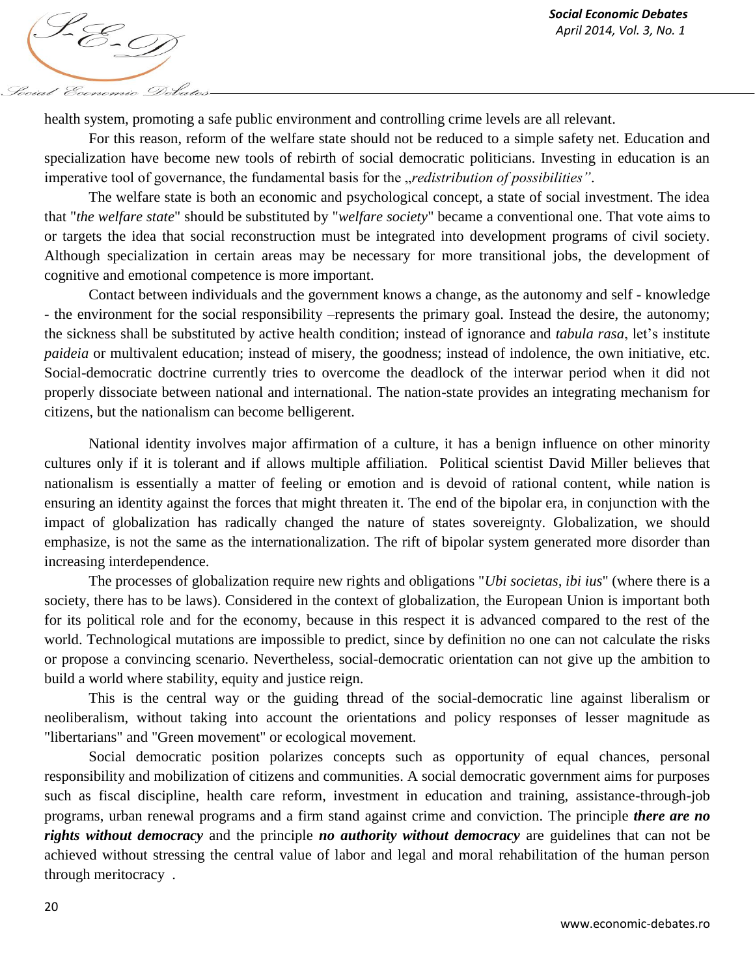

health system, promoting a safe public environment and controlling crime levels are all relevant.

For this reason, reform of the welfare state should not be reduced to a simple safety net. Education and specialization have become new tools of rebirth of social democratic politicians. Investing in education is an imperative tool of governance, the fundamental basis for the *gredistribution of possibilities*".

The welfare state is both an economic and psychological concept, a state of social investment. The idea that "*the welfare state*" should be substituted by "*welfare society*" became a conventional one. That vote aims to or targets the idea that social reconstruction must be integrated into development programs of civil society. Although specialization in certain areas may be necessary for more transitional jobs, the development of cognitive and emotional competence is more important.

Contact between individuals and the government knows a change, as the autonomy and self - knowledge - the environment for the social responsibility –represents the primary goal. Instead the desire, the autonomy; the sickness shall be substituted by active health condition; instead of ignorance and *tabula rasa*, let's institute *paideia* or multivalent education; instead of misery, the goodness; instead of indolence, the own initiative, etc. Social-democratic doctrine currently tries to overcome the deadlock of the interwar period when it did not properly dissociate between national and international. The nation-state provides an integrating mechanism for citizens, but the nationalism can become belligerent.

National identity involves major affirmation of a culture, it has a benign influence on other minority cultures only if it is tolerant and if allows multiple affiliation. Political scientist David Miller believes that nationalism is essentially a matter of feeling or emotion and is devoid of rational content, while nation is ensuring an identity against the forces that might threaten it. The end of the bipolar era, in conjunction with the impact of globalization has radically changed the nature of states sovereignty. Globalization, we should emphasize, is not the same as the internationalization. The rift of bipolar system generated more disorder than increasing interdependence.

The processes of globalization require new rights and obligations "*Ubi societas, ibi ius*" (where there is a society, there has to be laws). Considered in the context of globalization, the European Union is important both for its political role and for the economy, because in this respect it is advanced compared to the rest of the world. Technological mutations are impossible to predict, since by definition no one can not calculate the risks or propose a convincing scenario. Nevertheless, social-democratic orientation can not give up the ambition to build a world where stability, equity and justice reign.

This is the central way or the guiding thread of the social-democratic line against liberalism or neoliberalism, without taking into account the orientations and policy responses of lesser magnitude as "libertarians" and "Green movement" or ecological movement.

Social democratic position polarizes concepts such as opportunity of equal chances, personal responsibility and mobilization of citizens and communities. A social democratic government aims for purposes such as fiscal discipline, health care reform, investment in education and training, assistance-through-job programs, urban renewal programs and a firm stand against crime and conviction. The principle *there are no rights without democracy* and the principle *no authority without democracy* are guidelines that can not be achieved without stressing the central value of labor and legal and moral rehabilitation of the human person through meritocracy .